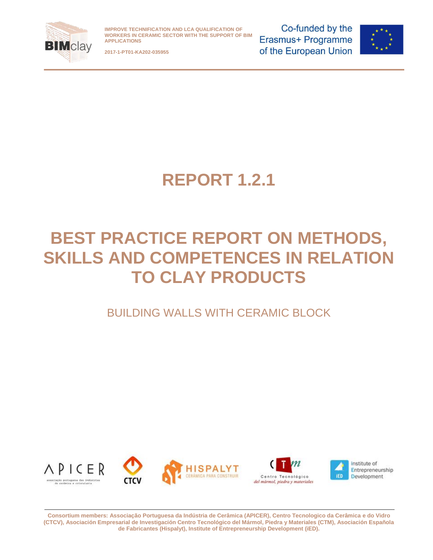

**2017-1-PT01-KA202-035955**

Co-funded by the Erasmus+ Programme of the European Union



**REPORT 1.2.1**

# **BEST PRACTICE REPORT ON METHODS, SKILLS AND COMPETENCES IN RELATION TO CLAY PRODUCTS**

BUILDING WALLS WITH CERAMIC BLOCK



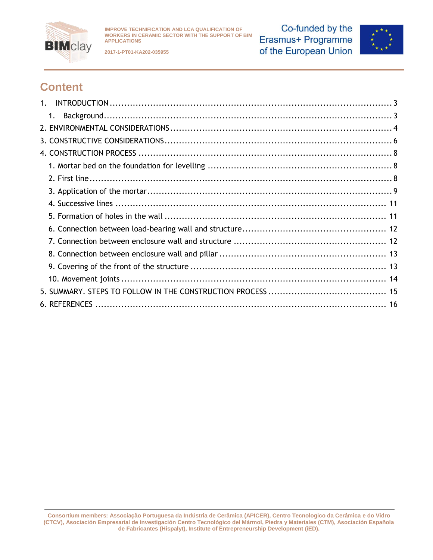

**2017-1-PT01-KA202-035955**

Co-funded by the Erasmus+ Programme of the European Union



# **Content**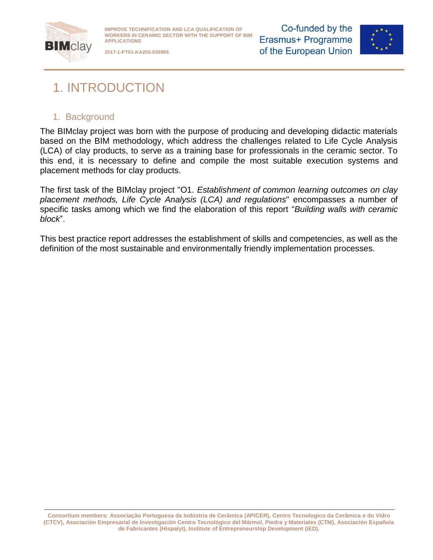

**2017-1-PT01-KA202-035955**

Co-funded by the Erasmus+ Programme of the European Union



# <span id="page-2-0"></span>1. INTRODUCTION

## <span id="page-2-1"></span>1. Background

The BIMclay project was born with the purpose of producing and developing didactic materials based on the BIM methodology, which address the challenges related to Life Cycle Analysis (LCA) of clay products, to serve as a training base for professionals in the ceramic sector. To this end, it is necessary to define and compile the most suitable execution systems and placement methods for clay products.

The first task of the BIMclay project "O1. *Establishment of common learning outcomes on clay placement methods, Life Cycle Analysis (LCA) and regulations*" encompasses a number of specific tasks among which we find the elaboration of this report "*Building walls with ceramic block*".

This best practice report addresses the establishment of skills and competencies, as well as the definition of the most sustainable and environmentally friendly implementation processes.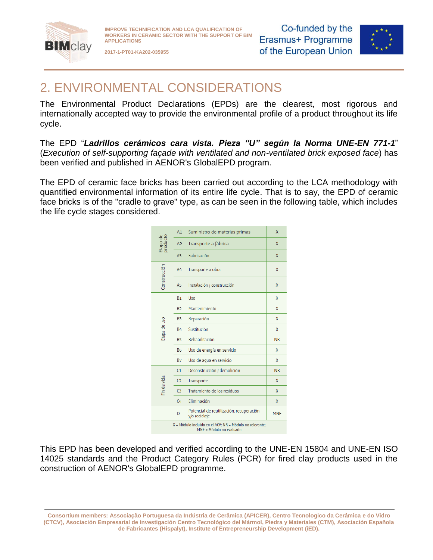

**2017-1-PT01-KA202-035955**

Co-funded by the Erasmus+ Programme of the European Union



# <span id="page-3-0"></span>2. ENVIRONMENTAL CONSIDERATIONS

The Environmental Product Declarations (EPDs) are the clearest, most rigorous and internationally accepted way to provide the environmental profile of a product throughout its life cycle.

The EPD "*Ladrillos cerámicos cara vista. Pieza "U" según la Norma UNE-EN 771-1*" (*Execution of self-supporting façade with ventilated and non-ventilated brick exposed face*) has been verified and published in AENOR's GlobalEPD program.

The EPD of ceramic face bricks has been carried out according to the LCA methodology with quantified environmental information of its entire life cycle. That is to say, the EPD of ceramic face bricks is of the "cradle to grave" type, as can be seen in the following table, which includes the life cycle stages considered.

|                      | A1             | Suministro de materias primas                                                        | $\mathsf{X}$ |
|----------------------|----------------|--------------------------------------------------------------------------------------|--------------|
| Etapa de<br>producto | A <sub>2</sub> | Transporte a fábrica                                                                 | $\chi$       |
|                      | A3             | Fabricación                                                                          | $\chi$       |
|                      | A4             | Transporte a obra                                                                    | $\chi$       |
| Construcción         | <b>A5</b>      | Instalación / construcción                                                           | $\chi$       |
|                      | <b>B1</b>      | Uso                                                                                  | X            |
|                      | <b>B2</b>      | Mantenimiento                                                                        | X            |
|                      | B <sub>3</sub> | Reparación                                                                           | X            |
| Etapa de uso         | <b>B4</b>      | Sustitución                                                                          | $\mathsf{x}$ |
|                      | <b>B5</b>      | Rehabilitación                                                                       | <b>NR</b>    |
|                      | <b>B6</b>      | Uso de energía en servicio                                                           | $\chi$       |
|                      | <b>B7</b>      | Uso de agua en servicio                                                              | $\chi$       |
|                      | C <sub>1</sub> | Deconstrucción / demolición                                                          | <b>NR</b>    |
| Fin de vida          | C <sub>2</sub> | Transporte                                                                           | X            |
|                      | C3             | Tratamiento de los residuos                                                          | X            |
|                      | C <sub>4</sub> | Eliminación                                                                          | $\chi$       |
|                      | D              | Potencial de reutilización, recuperación<br>y/o reciclaje                            | <b>MNE</b>   |
|                      |                | X = Módulo incluido en el ACV; NR = Módulo no relevante;<br>MNE = Módulo no evaluado |              |

This EPD has been developed and verified according to the UNE-EN 15804 and UNE-EN ISO 14025 standards and the Product Category Rules (PCR) for fired clay products used in the construction of AENOR's GlobalEPD programme.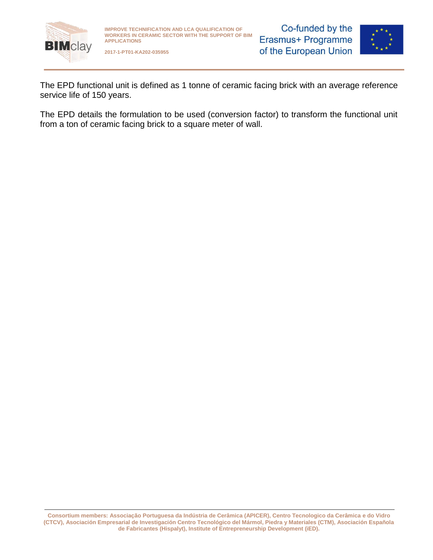

**2017-1-PT01-KA202-035955**

Co-funded by the Erasmus+ Programme of the European Union



The EPD functional unit is defined as 1 tonne of ceramic facing brick with an average reference service life of 150 years.

The EPD details the formulation to be used (conversion factor) to transform the functional unit from a ton of ceramic facing brick to a square meter of wall.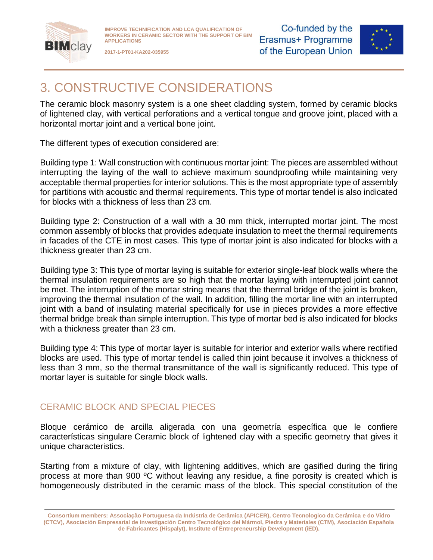

**2017-1-PT01-KA202-035955**

Co-funded by the Erasmus+ Programme of the European Union



# <span id="page-5-0"></span>3. CONSTRUCTIVE CONSIDERATIONS

The ceramic block masonry system is a one sheet cladding system, formed by ceramic blocks of lightened clay, with vertical perforations and a vertical tongue and groove joint, placed with a horizontal mortar joint and a vertical bone joint.

The different types of execution considered are:

Building type 1: Wall construction with continuous mortar joint: The pieces are assembled without interrupting the laying of the wall to achieve maximum soundproofing while maintaining very acceptable thermal properties for interior solutions. This is the most appropriate type of assembly for partitions with acoustic and thermal requirements. This type of mortar tendel is also indicated for blocks with a thickness of less than 23 cm.

Building type 2: Construction of a wall with a 30 mm thick, interrupted mortar joint. The most common assembly of blocks that provides adequate insulation to meet the thermal requirements in facades of the CTE in most cases. This type of mortar joint is also indicated for blocks with a thickness greater than 23 cm.

Building type 3: This type of mortar laying is suitable for exterior single-leaf block walls where the thermal insulation requirements are so high that the mortar laying with interrupted joint cannot be met. The interruption of the mortar string means that the thermal bridge of the joint is broken, improving the thermal insulation of the wall. In addition, filling the mortar line with an interrupted joint with a band of insulating material specifically for use in pieces provides a more effective thermal bridge break than simple interruption. This type of mortar bed is also indicated for blocks with a thickness greater than 23 cm.

Building type 4: This type of mortar layer is suitable for interior and exterior walls where rectified blocks are used. This type of mortar tendel is called thin joint because it involves a thickness of less than 3 mm, so the thermal transmittance of the wall is significantly reduced. This type of mortar layer is suitable for single block walls.

# CERAMIC BLOCK AND SPECIAL PIECES

Bloque cerámico de arcilla aligerada con una geometría específica que le confiere características singulare Ceramic block of lightened clay with a specific geometry that gives it unique characteristics.

Starting from a mixture of clay, with lightening additives, which are gasified during the firing process at more than 900 ºC without leaving any residue, a fine porosity is created which is homogeneously distributed in the ceramic mass of the block. This special constitution of the

**Consortium members: Associação Portuguesa da Indústria de Cerâmica (APICER), Centro Tecnologico da Cerâmica e do Vidro (CTCV), Asociación Empresarial de Investigación Centro Tecnológico del Mármol, Piedra y Materiales (CTM), Asociación Española de Fabricantes (Hispalyt), Institute of Entrepreneurship Development (iED).**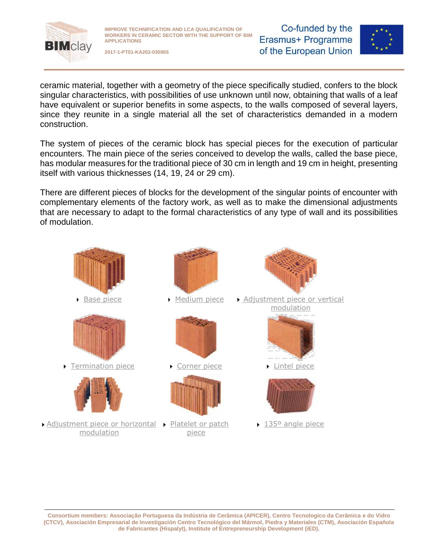

**2017-1-PT01-KA202-035955**

Co-funded by the Erasmus+ Programme of the European Union



ceramic material, together with a geometry of the piece specifically studied, confers to the block singular characteristics, with possibilities of use unknown until now, obtaining that walls of a leaf have equivalent or superior benefits in some aspects, to the walls composed of several layers, since they reunite in a single material all the set of characteristics demanded in a modern construction.

The system of pieces of the ceramic block has special pieces for the execution of particular encounters. The main piece of the series conceived to develop the walls, called the base piece, has modular measures for the traditional piece of 30 cm in length and 19 cm in height, presenting itself with various thicknesses (14, 19, 24 or 29 cm).

There are different pieces of blocks for the development of the singular points of encounter with complementary elements of the factory work, as well as to make the dimensional adjustments that are necessary to adapt to the formal characteristics of any type of wall and its possibilities of modulation.

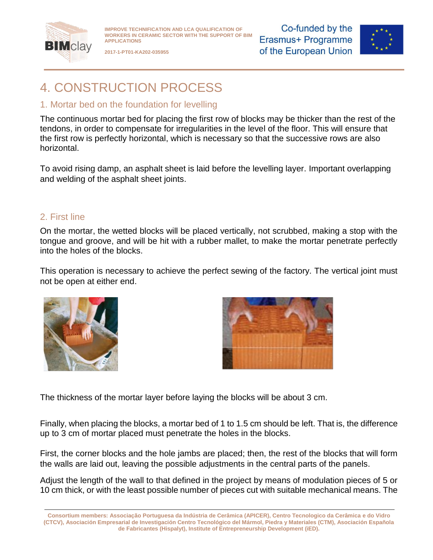

**2017-1-PT01-KA202-035955**

Co-funded by the Erasmus+ Programme of the European Union



# <span id="page-7-0"></span>4. CONSTRUCTION PROCESS

### <span id="page-7-1"></span>1. Mortar bed on the foundation for levelling

The continuous mortar bed for placing the first row of blocks may be thicker than the rest of the tendons, in order to compensate for irregularities in the level of the floor. This will ensure that the first row is perfectly horizontal, which is necessary so that the successive rows are also horizontal.

To avoid rising damp, an asphalt sheet is laid before the levelling layer. Important overlapping and welding of the asphalt sheet joints.

### <span id="page-7-2"></span>2. First line

On the mortar, the wetted blocks will be placed vertically, not scrubbed, making a stop with the tongue and groove, and will be hit with a rubber mallet, to make the mortar penetrate perfectly into the holes of the blocks.

This operation is necessary to achieve the perfect sewing of the factory. The vertical joint must not be open at either end.





The thickness of the mortar layer before laying the blocks will be about 3 cm.

Finally, when placing the blocks, a mortar bed of 1 to 1.5 cm should be left. That is, the difference up to 3 cm of mortar placed must penetrate the holes in the blocks.

First, the corner blocks and the hole jambs are placed; then, the rest of the blocks that will form the walls are laid out, leaving the possible adjustments in the central parts of the panels.

Adjust the length of the wall to that defined in the project by means of modulation pieces of 5 or 10 cm thick, or with the least possible number of pieces cut with suitable mechanical means. The

**Consortium members: Associação Portuguesa da Indústria de Cerâmica (APICER), Centro Tecnologico da Cerâmica e do Vidro (CTCV), Asociación Empresarial de Investigación Centro Tecnológico del Mármol, Piedra y Materiales (CTM), Asociación Española de Fabricantes (Hispalyt), Institute of Entrepreneurship Development (iED).**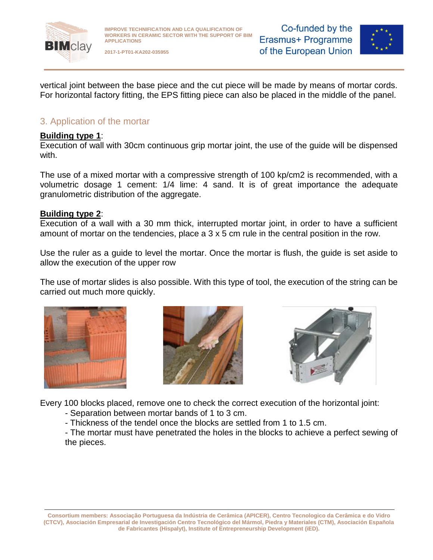

Co-funded by the Erasmus+ Programme of the European Union



vertical joint between the base piece and the cut piece will be made by means of mortar cords. For horizontal factory fitting, the EPS fitting piece can also be placed in the middle of the panel.

### <span id="page-8-0"></span>3. Application of the mortar

#### **Building type 1**:

Execution of wall with 30cm continuous grip mortar joint, the use of the guide will be dispensed with.

The use of a mixed mortar with a compressive strength of 100 kp/cm2 is recommended, with a volumetric dosage 1 cement: 1/4 lime: 4 sand. It is of great importance the adequate granulometric distribution of the aggregate.

#### **Building type 2**:

Execution of a wall with a 30 mm thick, interrupted mortar joint, in order to have a sufficient amount of mortar on the tendencies, place a 3 x 5 cm rule in the central position in the row.

Use the ruler as a guide to level the mortar. Once the mortar is flush, the guide is set aside to allow the execution of the upper row

The use of mortar slides is also possible. With this type of tool, the execution of the string can be carried out much more quickly.







Every 100 blocks placed, remove one to check the correct execution of the horizontal joint:

- Separation between mortar bands of 1 to 3 cm.
- Thickness of the tendel once the blocks are settled from 1 to 1.5 cm.

- The mortar must have penetrated the holes in the blocks to achieve a perfect sewing of the pieces.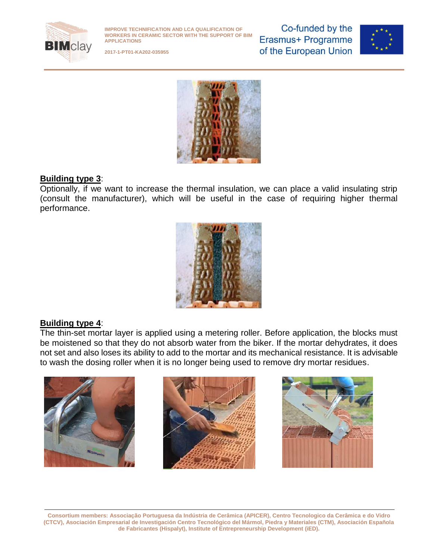

**2017-1-PT01-KA202-035955**

Co-funded by the Erasmus+ Programme of the European Union





#### **Building type 3**:

Optionally, if we want to increase the thermal insulation, we can place a valid insulating strip (consult the manufacturer), which will be useful in the case of requiring higher thermal performance.



#### **Building type 4**:

The thin-set mortar layer is applied using a metering roller. Before application, the blocks must be moistened so that they do not absorb water from the biker. If the mortar dehydrates, it does not set and also loses its ability to add to the mortar and its mechanical resistance. It is advisable to wash the dosing roller when it is no longer being used to remove dry mortar residues.

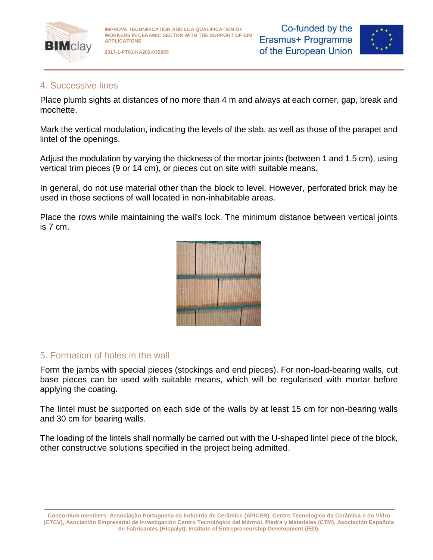

**2017-1-PT01-KA202-035955**

Co-funded by the Erasmus+ Programme of the European Union



#### <span id="page-10-0"></span>4. Successive lines

Place plumb sights at distances of no more than 4 m and always at each corner, gap, break and mochette.

Mark the vertical modulation, indicating the levels of the slab, as well as those of the parapet and lintel of the openings.

Adjust the modulation by varying the thickness of the mortar joints (between 1 and 1.5 cm), using vertical trim pieces (9 or 14 cm), or pieces cut on site with suitable means.

In general, do not use material other than the block to level. However, perforated brick may be used in those sections of wall located in non-inhabitable areas.

Place the rows while maintaining the wall's lock. The minimum distance between vertical joints is 7 cm.



#### <span id="page-10-1"></span>5. Formation of holes in the wall

Form the jambs with special pieces (stockings and end pieces). For non-load-bearing walls, cut base pieces can be used with suitable means, which will be regularised with mortar before applying the coating.

The lintel must be supported on each side of the walls by at least 15 cm for non-bearing walls and 30 cm for bearing walls.

The loading of the lintels shall normally be carried out with the U-shaped lintel piece of the block, other constructive solutions specified in the project being admitted.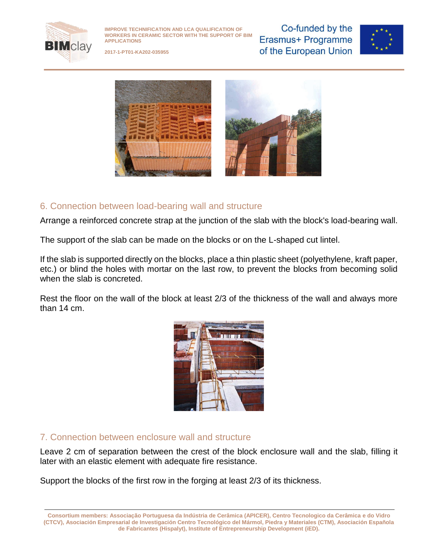

**2017-1-PT01-KA202-035955**

Co-funded by the Erasmus+ Programme of the European Union





### <span id="page-11-0"></span>6. Connection between load-bearing wall and structure

Arrange a reinforced concrete strap at the junction of the slab with the block's load-bearing wall.

The support of the slab can be made on the blocks or on the L-shaped cut lintel.

If the slab is supported directly on the blocks, place a thin plastic sheet (polyethylene, kraft paper, etc.) or blind the holes with mortar on the last row, to prevent the blocks from becoming solid when the slab is concreted.

Rest the floor on the wall of the block at least 2/3 of the thickness of the wall and always more than 14 cm.



### <span id="page-11-1"></span>7. Connection between enclosure wall and structure

Leave 2 cm of separation between the crest of the block enclosure wall and the slab, filling it later with an elastic element with adequate fire resistance.

Support the blocks of the first row in the forging at least 2/3 of its thickness.

**Consortium members: Associação Portuguesa da Indústria de Cerâmica (APICER), Centro Tecnologico da Cerâmica e do Vidro (CTCV), Asociación Empresarial de Investigación Centro Tecnológico del Mármol, Piedra y Materiales (CTM), Asociación Española de Fabricantes (Hispalyt), Institute of Entrepreneurship Development (iED).**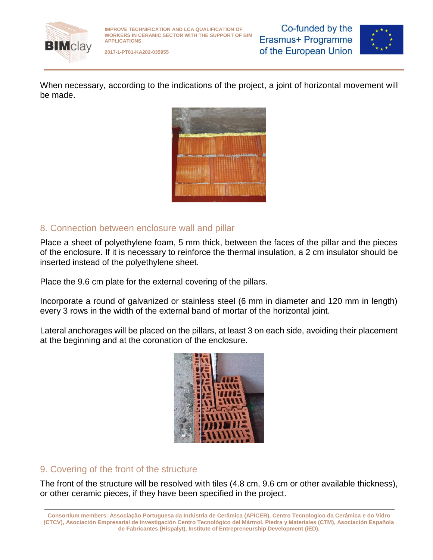

**2017-1-PT01-KA202-035955**

Co-funded by the Erasmus+ Programme of the European Union



When necessary, according to the indications of the project, a joint of horizontal movement will be made.



### <span id="page-12-0"></span>8. Connection between enclosure wall and pillar

Place a sheet of polyethylene foam, 5 mm thick, between the faces of the pillar and the pieces of the enclosure. If it is necessary to reinforce the thermal insulation, a 2 cm insulator should be inserted instead of the polyethylene sheet.

Place the 9.6 cm plate for the external covering of the pillars.

Incorporate a round of galvanized or stainless steel (6 mm in diameter and 120 mm in length) every 3 rows in the width of the external band of mortar of the horizontal joint.

Lateral anchorages will be placed on the pillars, at least 3 on each side, avoiding their placement at the beginning and at the coronation of the enclosure.



### <span id="page-12-1"></span>9. Covering of the front of the structure

The front of the structure will be resolved with tiles (4.8 cm, 9.6 cm or other available thickness), or other ceramic pieces, if they have been specified in the project.

**Consortium members: Associação Portuguesa da Indústria de Cerâmica (APICER), Centro Tecnologico da Cerâmica e do Vidro (CTCV), Asociación Empresarial de Investigación Centro Tecnológico del Mármol, Piedra y Materiales (CTM), Asociación Española de Fabricantes (Hispalyt), Institute of Entrepreneurship Development (iED).**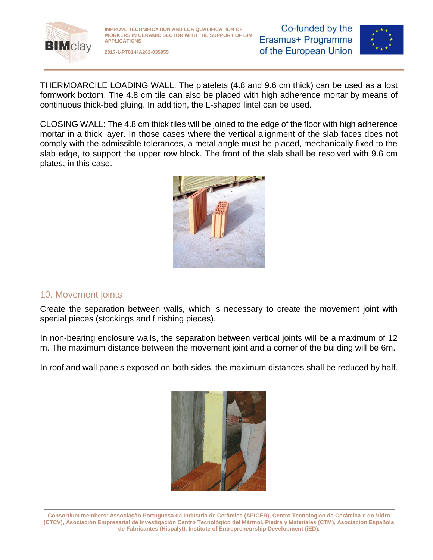

**2017-1-PT01-KA202-035955**

Co-funded by the Erasmus+ Programme of the European Union



THERMOARCILE LOADING WALL: The platelets (4.8 and 9.6 cm thick) can be used as a lost formwork bottom. The 4.8 cm tile can also be placed with high adherence mortar by means of continuous thick-bed gluing. In addition, the L-shaped lintel can be used.

CLOSING WALL: The 4.8 cm thick tiles will be joined to the edge of the floor with high adherence mortar in a thick layer. In those cases where the vertical alignment of the slab faces does not comply with the admissible tolerances, a metal angle must be placed, mechanically fixed to the slab edge, to support the upper row block. The front of the slab shall be resolved with 9.6 cm plates, in this case.



# <span id="page-13-0"></span>10. Movement joints

Create the separation between walls, which is necessary to create the movement joint with special pieces (stockings and finishing pieces).

In non-bearing enclosure walls, the separation between vertical joints will be a maximum of 12 m. The maximum distance between the movement joint and a corner of the building will be 6m.

In roof and wall panels exposed on both sides, the maximum distances shall be reduced by half.

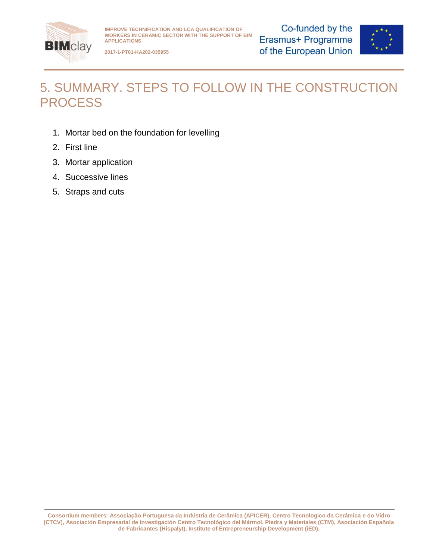

**2017-1-PT01-KA202-035955**

Co-funded by the Erasmus+ Programme of the European Union



# <span id="page-14-0"></span>5. SUMMARY. STEPS TO FOLLOW IN THE CONSTRUCTION **PROCESS**

- 1. Mortar bed on the foundation for levelling
- 2. First line
- 3. Mortar application
- 4. Successive lines
- 5. Straps and cuts